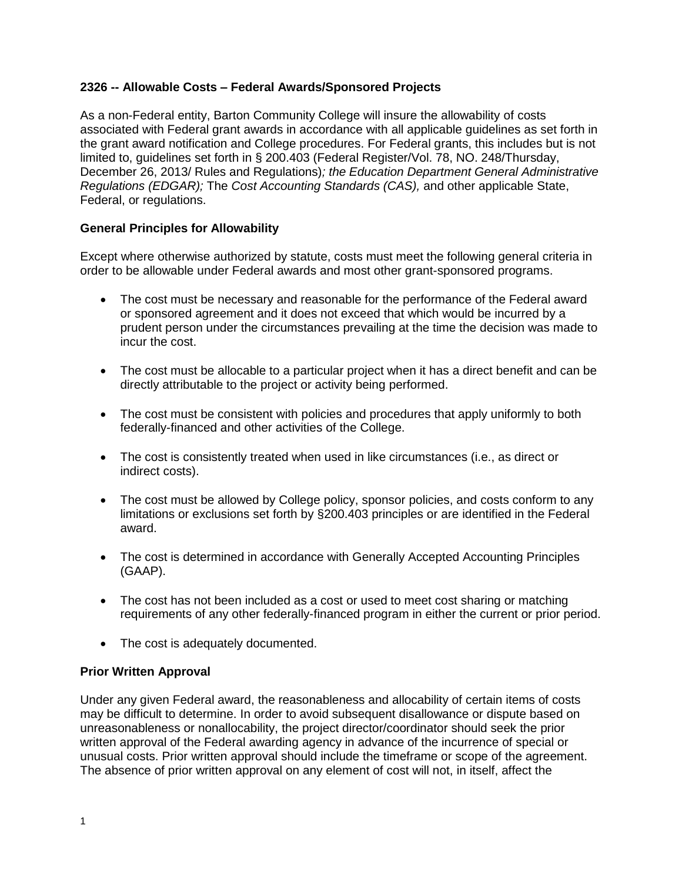# **2326 -- Allowable Costs – Federal Awards/Sponsored Projects**

As a non-Federal entity, Barton Community College will insure the allowability of costs associated with Federal grant awards in accordance with all applicable guidelines as set forth in the grant award notification and College procedures. For Federal grants, this includes but is not limited to, guidelines set forth in § 200.403 (Federal Register/Vol. 78, NO. 248/Thursday, December 26, 2013/ Rules and Regulations)*; the Education Department General Administrative Regulations (EDGAR);* The *Cost Accounting Standards (CAS),* and other applicable State, Federal, or regulations.

# **General Principles for Allowability**

Except where otherwise authorized by statute, costs must meet the following general criteria in order to be allowable under Federal awards and most other grant-sponsored programs.

- The cost must be necessary and reasonable for the performance of the Federal award or sponsored agreement and it does not exceed that which would be incurred by a prudent person under the circumstances prevailing at the time the decision was made to incur the cost.
- The cost must be allocable to a particular project when it has a direct benefit and can be directly attributable to the project or activity being performed.
- The cost must be consistent with policies and procedures that apply uniformly to both federally-financed and other activities of the College.
- The cost is consistently treated when used in like circumstances (i.e., as direct or indirect costs).
- The cost must be allowed by College policy, sponsor policies, and costs conform to any limitations or exclusions set forth by §200.403 principles or are identified in the Federal award.
- The cost is determined in accordance with Generally Accepted Accounting Principles (GAAP).
- The cost has not been included as a cost or used to meet cost sharing or matching requirements of any other federally-financed program in either the current or prior period.
- The cost is adequately documented.

## **Prior Written Approval**

Under any given Federal award, the reasonableness and allocability of certain items of costs may be difficult to determine. In order to avoid subsequent disallowance or dispute based on unreasonableness or nonallocability, the project director/coordinator should seek the prior written approval of the Federal awarding agency in advance of the incurrence of special or unusual costs. Prior written approval should include the timeframe or scope of the agreement. The absence of prior written approval on any element of cost will not, in itself, affect the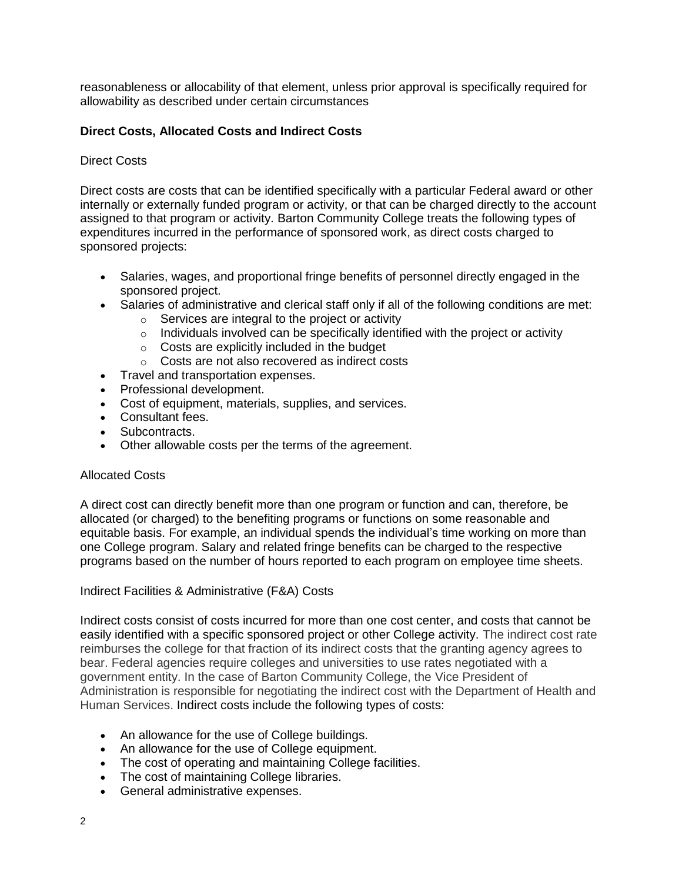reasonableness or allocability of that element, unless prior approval is specifically required for allowability as described under certain circumstances

# **Direct Costs, Allocated Costs and Indirect Costs**

## Direct Costs

Direct costs are costs that can be identified specifically with a particular Federal award or other internally or externally funded program or activity, or that can be charged directly to the account assigned to that program or activity. Barton Community College treats the following types of expenditures incurred in the performance of sponsored work, as direct costs charged to sponsored projects:

- Salaries, wages, and proportional fringe benefits of personnel directly engaged in the sponsored project.
- Salaries of administrative and clerical staff only if all of the following conditions are met:
	- o Services are integral to the project or activity
	- o Individuals involved can be specifically identified with the project or activity
	- o Costs are explicitly included in the budget
	- o Costs are not also recovered as indirect costs
- Travel and transportation expenses.
- Professional development.
- Cost of equipment, materials, supplies, and services.
- Consultant fees.
- Subcontracts.
- Other allowable costs per the terms of the agreement.

#### Allocated Costs

A direct cost can directly benefit more than one program or function and can, therefore, be allocated (or charged) to the benefiting programs or functions on some reasonable and equitable basis. For example, an individual spends the individual's time working on more than one College program. Salary and related fringe benefits can be charged to the respective programs based on the number of hours reported to each program on employee time sheets.

Indirect Facilities & Administrative (F&A) Costs

Indirect costs consist of costs incurred for more than one cost center, and costs that cannot be easily identified with a specific sponsored project or other College activity. The indirect cost rate reimburses the college for that fraction of its indirect costs that the granting agency agrees to bear. Federal agencies require colleges and universities to use rates negotiated with a government entity. In the case of Barton Community College, the Vice President of Administration is responsible for negotiating the indirect cost with the Department of Health and Human Services. Indirect costs include the following types of costs:

- An allowance for the use of College buildings.
- An allowance for the use of College equipment.
- The cost of operating and maintaining College facilities.
- The cost of maintaining College libraries.
- General administrative expenses.